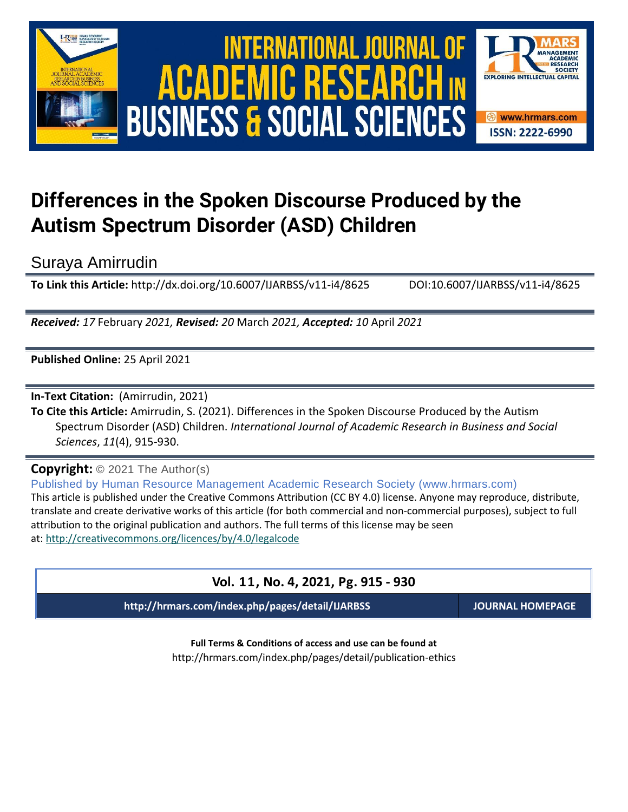

# **Differences in the Spoken Discourse Produced by the Autism Spectrum Disorder (ASD) Children**

Suraya Amirrudin

**To Link this Article:** http://dx.doi.org/10.6007/IJARBSS/v11-i4/8625 DOI:10.6007/IJARBSS/v11-i4/8625

*Received: 17* February *2021, Revised: 20* March *2021, Accepted: 10* April *2021*

**Published Online:** 25 April 2021

**In-Text Citation:** (Amirrudin, 2021)

**To Cite this Article:** Amirrudin, S. (2021). Differences in the Spoken Discourse Produced by the Autism Spectrum Disorder (ASD) Children. *International Journal of Academic Research in Business and Social Sciences*, *11*(4), 915-930.

**Copyright:** © 2021 The Author(s) Published by Human Resource Management Academic Research Society (www.hrmars.com) This article is published under the Creative Commons Attribution (CC BY 4.0) license. Anyone may reproduce, distribute, translate and create derivative works of this article (for both commercial and non-commercial purposes), subject to full attribution to the original publication and authors. The full terms of this license may be seen at: <http://creativecommons.org/licences/by/4.0/legalcode>

## **Vol. 11, No. 4, 2021, Pg. 915 - 930**

**http://hrmars.com/index.php/pages/detail/IJARBSS JOURNAL HOMEPAGE**

**Full Terms & Conditions of access and use can be found at** http://hrmars.com/index.php/pages/detail/publication-ethics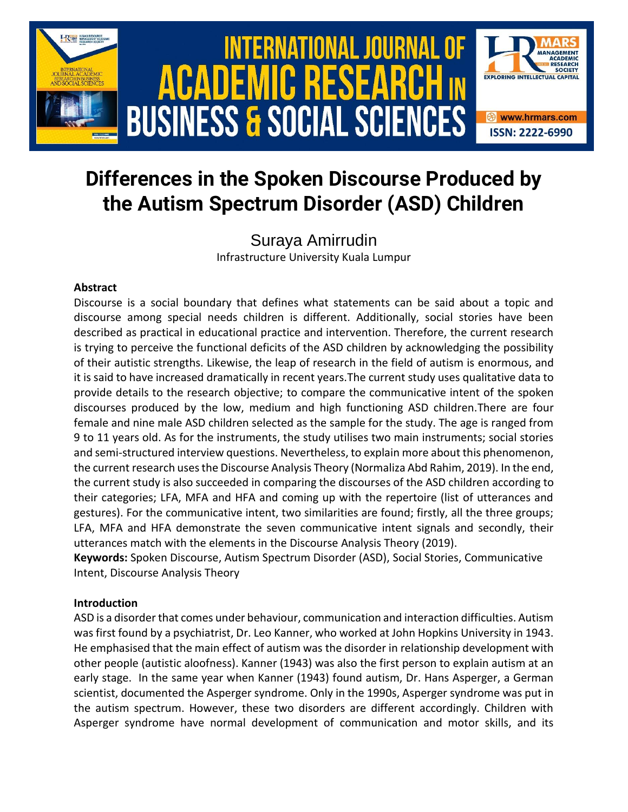

# **Differences in the Spoken Discourse Produced by the Autism Spectrum Disorder (ASD) Children**

Suraya Amirrudin Infrastructure University Kuala Lumpur

### **Abstract**

Discourse is a social boundary that defines what statements can be said about a topic and discourse among special needs children is different. Additionally, social stories have been described as practical in educational practice and intervention. Therefore, the current research is trying to perceive the functional deficits of the ASD children by acknowledging the possibility of their autistic strengths. Likewise, the leap of research in the field of autism is enormous, and it is said to have increased dramatically in recent years.The current study uses qualitative data to provide details to the research objective; to compare the communicative intent of the spoken discourses produced by the low, medium and high functioning ASD children.There are four female and nine male ASD children selected as the sample for the study. The age is ranged from 9 to 11 years old. As for the instruments, the study utilises two main instruments; social stories and semi-structured interview questions. Nevertheless, to explain more about this phenomenon, the current research uses the Discourse Analysis Theory (Normaliza Abd Rahim, 2019). In the end, the current study is also succeeded in comparing the discourses of the ASD children according to their categories; LFA, MFA and HFA and coming up with the repertoire (list of utterances and gestures). For the communicative intent, two similarities are found; firstly, all the three groups; LFA, MFA and HFA demonstrate the seven communicative intent signals and secondly, their utterances match with the elements in the Discourse Analysis Theory (2019).

**Keywords:** Spoken Discourse, Autism Spectrum Disorder (ASD), Social Stories, Communicative Intent, Discourse Analysis Theory

#### **Introduction**

ASD is a disorder that comes under behaviour, communication and interaction difficulties. Autism was first found by a psychiatrist, Dr. Leo Kanner, who worked at John Hopkins University in 1943. He emphasised that the main effect of autism was the disorder in relationship development with other people (autistic aloofness). Kanner (1943) was also the first person to explain autism at an early stage. In the same year when Kanner (1943) found autism, Dr. Hans Asperger, a German scientist, documented the Asperger syndrome. Only in the 1990s, Asperger syndrome was put in the autism spectrum. However, these two disorders are different accordingly. Children with Asperger syndrome have normal development of communication and motor skills, and its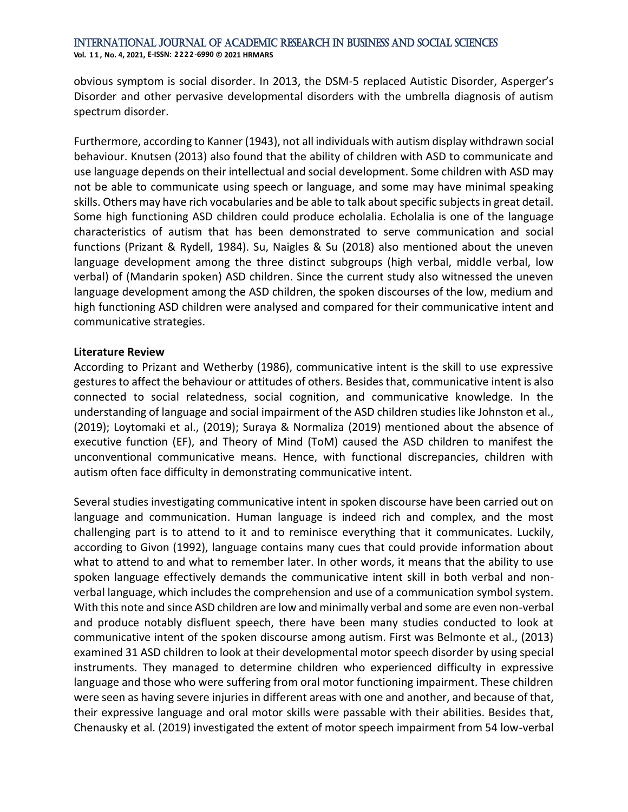obvious symptom is social disorder. In 2013, the DSM-5 replaced Autistic Disorder, Asperger's Disorder and other pervasive developmental disorders with the umbrella diagnosis of autism spectrum disorder.

Furthermore, according to Kanner (1943), not all individuals with autism display withdrawn social behaviour. Knutsen (2013) also found that the ability of children with ASD to communicate and use language depends on their intellectual and social development. Some children with ASD may not be able to communicate using speech or language, and some may have minimal speaking skills. Others may have rich vocabularies and be able to talk about specific subjects in great detail. Some high functioning ASD children could produce echolalia. Echolalia is one of the language characteristics of autism that has been demonstrated to serve communication and social functions (Prizant & Rydell, 1984). Su, Naigles & Su (2018) also mentioned about the uneven language development among the three distinct subgroups (high verbal, middle verbal, low verbal) of (Mandarin spoken) ASD children. Since the current study also witnessed the uneven language development among the ASD children, the spoken discourses of the low, medium and high functioning ASD children were analysed and compared for their communicative intent and communicative strategies.

#### **Literature Review**

According to Prizant and Wetherby (1986), communicative intent is the skill to use expressive gestures to affect the behaviour or attitudes of others. Besides that, communicative intent is also connected to social relatedness, social cognition, and communicative knowledge. In the understanding of language and social impairment of the ASD children studies like Johnston et al., (2019); Loytomaki et al., (2019); Suraya & Normaliza (2019) mentioned about the absence of executive function (EF), and Theory of Mind (ToM) caused the ASD children to manifest the unconventional communicative means. Hence, with functional discrepancies, children with autism often face difficulty in demonstrating communicative intent.

Several studies investigating communicative intent in spoken discourse have been carried out on language and communication. Human language is indeed rich and complex, and the most challenging part is to attend to it and to reminisce everything that it communicates. Luckily, according to Givon (1992), language contains many cues that could provide information about what to attend to and what to remember later. In other words, it means that the ability to use spoken language effectively demands the communicative intent skill in both verbal and nonverbal language, which includes the comprehension and use of a communication symbol system. With this note and since ASD children are low and minimally verbal and some are even non-verbal and produce notably disfluent speech, there have been many studies conducted to look at communicative intent of the spoken discourse among autism. First was Belmonte et al., (2013) examined 31 ASD children to look at their developmental motor speech disorder by using special instruments. They managed to determine children who experienced difficulty in expressive language and those who were suffering from oral motor functioning impairment. These children were seen as having severe injuries in different areas with one and another, and because of that, their expressive language and oral motor skills were passable with their abilities. Besides that, Chenausky et al. (2019) investigated the extent of motor speech impairment from 54 low-verbal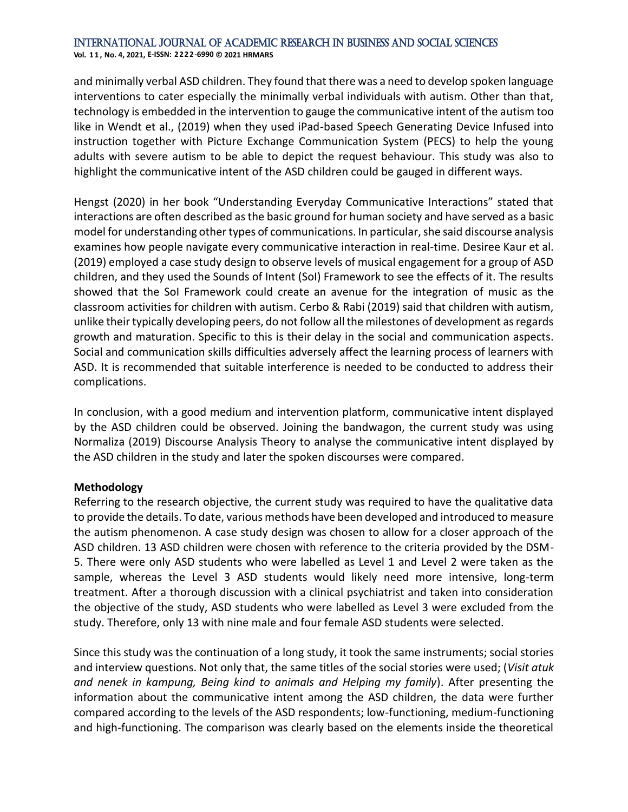**Vol. 1 1 , No. 4, 2021, E-ISSN: 2222-6990 © 2021 HRMARS**

and minimally verbal ASD children. They found that there was a need to develop spoken language interventions to cater especially the minimally verbal individuals with autism. Other than that, technology is embedded in the intervention to gauge the communicative intent of the autism too like in Wendt et al., (2019) when they used iPad-based Speech Generating Device Infused into instruction together with Picture Exchange Communication System (PECS) to help the young adults with severe autism to be able to depict the request behaviour. This study was also to highlight the communicative intent of the ASD children could be gauged in different ways.

Hengst (2020) in her book "Understanding Everyday Communicative Interactions" stated that interactions are often described as the basic ground for human society and have served as a basic model for understanding other types of communications. In particular, she said discourse analysis examines how people navigate every communicative interaction in real-time. Desiree Kaur et al. (2019) employed a case study design to observe levels of musical engagement for a group of ASD children, and they used the Sounds of Intent (SoI) Framework to see the effects of it. The results showed that the SoI Framework could create an avenue for the integration of music as the classroom activities for children with autism. Cerbo & Rabi (2019) said that children with autism, unlike their typically developing peers, do not follow all the milestones of development as regards growth and maturation. Specific to this is their delay in the social and communication aspects. Social and communication skills difficulties adversely affect the learning process of learners with ASD. It is recommended that suitable interference is needed to be conducted to address their complications.

In conclusion, with a good medium and intervention platform, communicative intent displayed by the ASD children could be observed. Joining the bandwagon, the current study was using Normaliza (2019) Discourse Analysis Theory to analyse the communicative intent displayed by the ASD children in the study and later the spoken discourses were compared.

#### **Methodology**

Referring to the research objective, the current study was required to have the qualitative data to provide the details. To date, various methods have been developed and introduced to measure the autism phenomenon. A case study design was chosen to allow for a closer approach of the ASD children. 13 ASD children were chosen with reference to the criteria provided by the DSM-5. There were only ASD students who were labelled as Level 1 and Level 2 were taken as the sample, whereas the Level 3 ASD students would likely need more intensive, long-term treatment. After a thorough discussion with a clinical psychiatrist and taken into consideration the objective of the study, ASD students who were labelled as Level 3 were excluded from the study. Therefore, only 13 with nine male and four female ASD students were selected.

Since this study was the continuation of a long study, it took the same instruments; social stories and interview questions. Not only that, the same titles of the social stories were used; (*Visit atuk and nenek in kampung, Being kind to animals and Helping my family*). After presenting the information about the communicative intent among the ASD children, the data were further compared according to the levels of the ASD respondents; low-functioning, medium-functioning and high-functioning. The comparison was clearly based on the elements inside the theoretical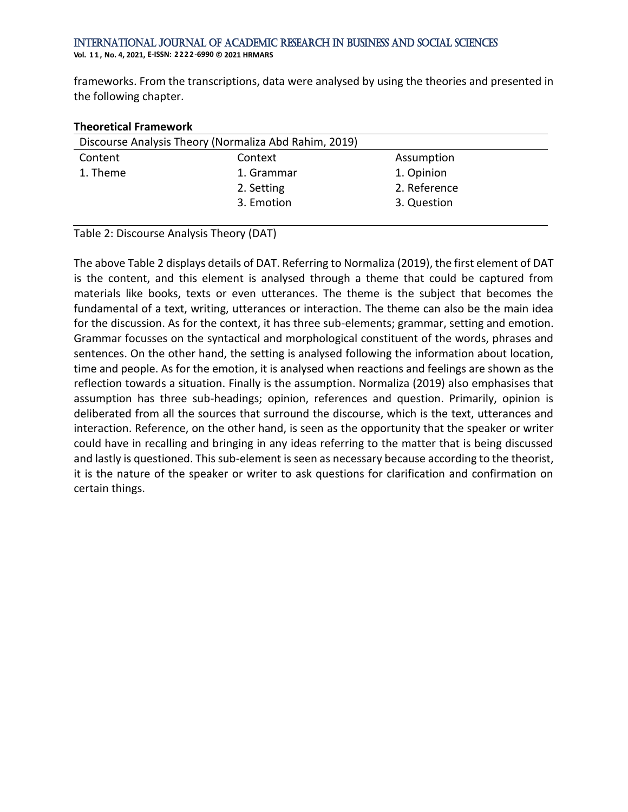frameworks. From the transcriptions, data were analysed by using the theories and presented in the following chapter.

|          | Discourse Analysis Theory (Normaliza Abd Rahim, 2019) |              |  |
|----------|-------------------------------------------------------|--------------|--|
| Content  | Context                                               | Assumption   |  |
| 1. Theme | 1. Grammar                                            | 1. Opinion   |  |
|          | 2. Setting                                            | 2. Reference |  |
|          | 3. Emotion                                            | 3. Question  |  |
|          |                                                       |              |  |

#### **Theoretical Framework**

Table 2: Discourse Analysis Theory (DAT)

The above Table 2 displays details of DAT. Referring to Normaliza (2019), the first element of DAT is the content, and this element is analysed through a theme that could be captured from materials like books, texts or even utterances. The theme is the subject that becomes the fundamental of a text, writing, utterances or interaction. The theme can also be the main idea for the discussion. As for the context, it has three sub-elements; grammar, setting and emotion. Grammar focusses on the syntactical and morphological constituent of the words, phrases and sentences. On the other hand, the setting is analysed following the information about location, time and people. As for the emotion, it is analysed when reactions and feelings are shown as the reflection towards a situation. Finally is the assumption. Normaliza (2019) also emphasises that assumption has three sub-headings; opinion, references and question. Primarily, opinion is deliberated from all the sources that surround the discourse, which is the text, utterances and interaction. Reference, on the other hand, is seen as the opportunity that the speaker or writer could have in recalling and bringing in any ideas referring to the matter that is being discussed and lastly is questioned. This sub-element is seen as necessary because according to the theorist, it is the nature of the speaker or writer to ask questions for clarification and confirmation on certain things.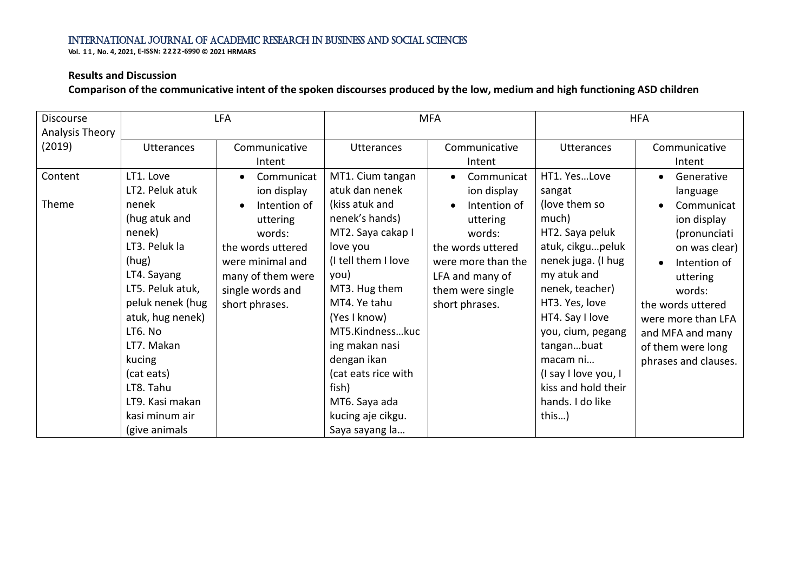**Vol. 1 1 , No. 4, 2021, E-ISSN: 2222-6990 © 2021 HRMARS**

#### **Results and Discussion**

**Comparison of the communicative intent of the spoken discourses produced by the low, medium and high functioning ASD children**

| <b>Discourse</b>          |                                                                                                                                                                                                                                 | <b>LFA</b>                                                                                                             |                                                                                                                                                                                                                                                           | <b>MFA</b>                                                                                                             |                                                                                                                                                                                                                                                                      | <b>HFA</b>                                                                                                                                                                                     |
|---------------------------|---------------------------------------------------------------------------------------------------------------------------------------------------------------------------------------------------------------------------------|------------------------------------------------------------------------------------------------------------------------|-----------------------------------------------------------------------------------------------------------------------------------------------------------------------------------------------------------------------------------------------------------|------------------------------------------------------------------------------------------------------------------------|----------------------------------------------------------------------------------------------------------------------------------------------------------------------------------------------------------------------------------------------------------------------|------------------------------------------------------------------------------------------------------------------------------------------------------------------------------------------------|
| Analysis Theory<br>(2019) | <b>Utterances</b>                                                                                                                                                                                                               | Communicative<br>Intent                                                                                                | <b>Utterances</b>                                                                                                                                                                                                                                         | Communicative<br>Intent                                                                                                | <b>Utterances</b>                                                                                                                                                                                                                                                    | Communicative<br>Intent                                                                                                                                                                        |
| Content<br>Theme          | LT1. Love<br>LT2. Peluk atuk<br>nenek                                                                                                                                                                                           | Communicat<br>ion display<br>Intention of                                                                              | MT1. Cium tangan<br>atuk dan nenek<br>(kiss atuk and                                                                                                                                                                                                      | Communicat<br>ion display<br>Intention of                                                                              | HT1. YesLove<br>sangat<br>(love them so                                                                                                                                                                                                                              | Generative<br>language<br>Communicat                                                                                                                                                           |
|                           | (hug atuk and<br>nenek)<br>LT3. Peluk la<br>(hug)<br>LT4. Sayang<br>LT5. Peluk atuk,<br>peluk nenek (hug<br>atuk, hug nenek)<br>LT6. No<br>LT7. Makan<br>kucing<br>(cat eats)<br>LT8. Tahu<br>LT9. Kasi makan<br>kasi minum air | uttering<br>words:<br>the words uttered<br>were minimal and<br>many of them were<br>single words and<br>short phrases. | nenek's hands)<br>MT2. Saya cakap I<br>love you<br>(I tell them I love<br>you)<br>MT3. Hug them<br>MT4. Ye tahu<br>(Yes I know)<br>MT5.Kindnesskuc<br>ing makan nasi<br>dengan ikan<br>(cat eats rice with<br>fish)<br>MT6. Saya ada<br>kucing aje cikgu. | uttering<br>words:<br>the words uttered<br>were more than the<br>LFA and many of<br>them were single<br>short phrases. | much)<br>HT2. Saya peluk<br>atuk, cikgupeluk<br>nenek juga. (I hug<br>my atuk and<br>nenek, teacher)<br>HT3. Yes, love<br>HT4. Say I love<br>you, cium, pegang<br>tanganbuat<br>macam ni<br>(I say I love you, I<br>kiss and hold their<br>hands. I do like<br>this) | ion display<br>(pronunciati<br>on was clear)<br>Intention of<br>uttering<br>words:<br>the words uttered<br>were more than LFA<br>and MFA and many<br>of them were long<br>phrases and clauses. |
|                           | (give animals                                                                                                                                                                                                                   |                                                                                                                        | Saya sayang la                                                                                                                                                                                                                                            |                                                                                                                        |                                                                                                                                                                                                                                                                      |                                                                                                                                                                                                |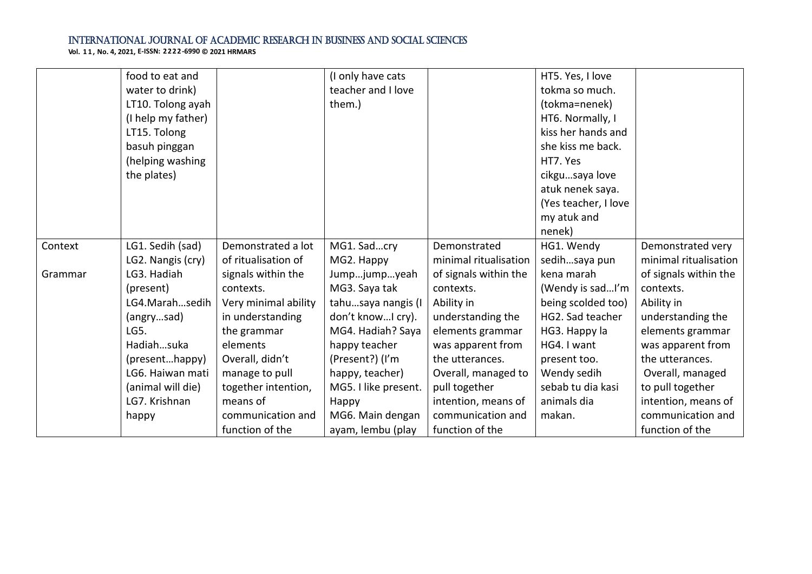|         | food to eat and    |                      | (I only have cats    |                       | HT5. Yes, I love     |                       |
|---------|--------------------|----------------------|----------------------|-----------------------|----------------------|-----------------------|
|         | water to drink)    |                      | teacher and I love   |                       | tokma so much.       |                       |
|         | LT10. Tolong ayah  |                      | them.)               |                       | (tokma=nenek)        |                       |
|         | (I help my father) |                      |                      |                       | HT6. Normally, I     |                       |
|         | LT15. Tolong       |                      |                      |                       | kiss her hands and   |                       |
|         | basuh pinggan      |                      |                      |                       | she kiss me back.    |                       |
|         | (helping washing   |                      |                      |                       | HT7. Yes             |                       |
|         | the plates)        |                      |                      |                       | cikgusaya love       |                       |
|         |                    |                      |                      |                       | atuk nenek saya.     |                       |
|         |                    |                      |                      |                       | (Yes teacher, I love |                       |
|         |                    |                      |                      |                       | my atuk and          |                       |
|         |                    |                      |                      |                       | nenek)               |                       |
| Context | LG1. Sedih (sad)   | Demonstrated a lot   | MG1. Sadcry          | Demonstrated          | HG1. Wendy           | Demonstrated very     |
|         | LG2. Nangis (cry)  | of ritualisation of  | MG2. Happy           | minimal ritualisation | sedihsaya pun        | minimal ritualisation |
| Grammar | LG3. Hadiah        | signals within the   | Jumpjumpyeah         | of signals within the | kena marah           | of signals within the |
|         | (present)          | contexts.            | MG3. Saya tak        | contexts.             | (Wendy is sadI'm     | contexts.             |
|         | LG4.Marahsedih     | Very minimal ability | tahusaya nangis (I   | Ability in            | being scolded too)   | Ability in            |
|         | (angrysad)         | in understanding     | don't knowI cry).    | understanding the     | HG2. Sad teacher     | understanding the     |
|         | LG5.               | the grammar          | MG4. Hadiah? Saya    | elements grammar      | HG3. Happy la        | elements grammar      |
|         | Hadiahsuka         | elements             | happy teacher        | was apparent from     | HG4. I want          | was apparent from     |
|         | (presenthappy)     | Overall, didn't      | (Present?) (I'm      | the utterances.       | present too.         | the utterances.       |
|         | LG6. Haiwan mati   | manage to pull       | happy, teacher)      | Overall, managed to   | Wendy sedih          | Overall, managed      |
|         | (animal will die)  | together intention,  | MG5. I like present. | pull together         | sebab tu dia kasi    | to pull together      |
|         | LG7. Krishnan      | means of             | Happy                | intention, means of   | animals dia          | intention, means of   |
|         | happy              | communication and    | MG6. Main dengan     | communication and     | makan.               | communication and     |
|         |                    | function of the      | ayam, lembu (play    | function of the       |                      | function of the       |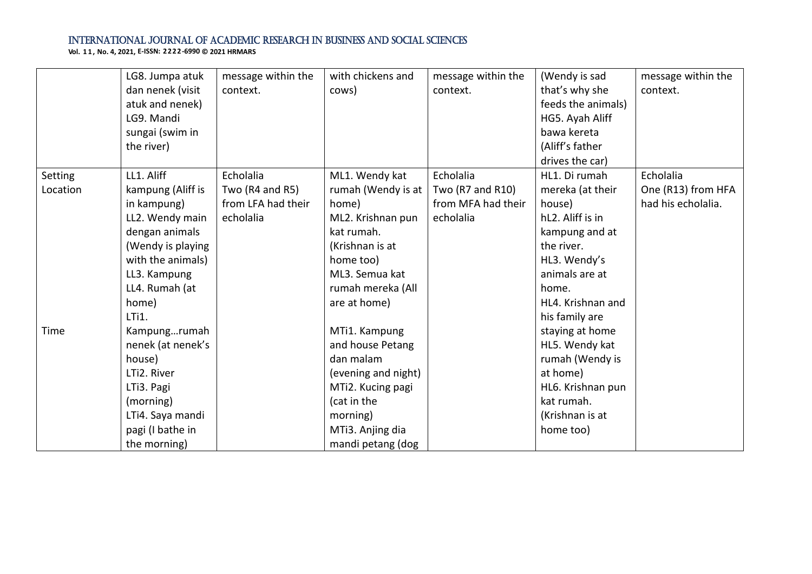|          | LG8. Jumpa atuk   | message within the  | with chickens and   | message within the | (Wendy is sad      | message within the |
|----------|-------------------|---------------------|---------------------|--------------------|--------------------|--------------------|
|          | dan nenek (visit  | context.            | cows)               | context.           | that's why she     | context.           |
|          | atuk and nenek)   |                     |                     |                    | feeds the animals) |                    |
|          | LG9. Mandi        |                     |                     |                    | HG5. Ayah Aliff    |                    |
|          | sungai (swim in   |                     |                     |                    | bawa kereta        |                    |
|          | the river)        |                     |                     |                    | (Aliff's father    |                    |
|          |                   |                     |                     |                    | drives the car)    |                    |
| Setting  | LL1. Aliff        | Echolalia           | ML1. Wendy kat      | Echolalia          | HL1. Di rumah      | Echolalia          |
| Location | kampung (Aliff is | Two $(R4$ and $R5)$ | rumah (Wendy is at  | Two (R7 and R10)   | mereka (at their   | One (R13) from HFA |
|          | in kampung)       | from LFA had their  | home)               | from MFA had their | house)             | had his echolalia. |
|          | LL2. Wendy main   | echolalia           | ML2. Krishnan pun   | echolalia          | hL2. Aliff is in   |                    |
|          | dengan animals    |                     | kat rumah.          |                    | kampung and at     |                    |
|          | (Wendy is playing |                     | (Krishnan is at     |                    | the river.         |                    |
|          | with the animals) |                     | home too)           |                    | HL3. Wendy's       |                    |
|          | LL3. Kampung      |                     | ML3. Semua kat      |                    | animals are at     |                    |
|          | LL4. Rumah (at    |                     | rumah mereka (All   |                    | home.              |                    |
|          | home)             |                     | are at home)        |                    | HL4. Krishnan and  |                    |
|          | LTi1.             |                     |                     |                    | his family are     |                    |
| Time     | Kampungrumah      |                     | MTi1. Kampung       |                    | staying at home    |                    |
|          | nenek (at nenek's |                     | and house Petang    |                    | HL5. Wendy kat     |                    |
|          | house)            |                     | dan malam           |                    | rumah (Wendy is    |                    |
|          | LTi2. River       |                     | (evening and night) |                    | at home)           |                    |
|          | LTi3. Pagi        |                     | MTi2. Kucing pagi   |                    | HL6. Krishnan pun  |                    |
|          | (morning)         |                     | (cat in the         |                    | kat rumah.         |                    |
|          | LTi4. Saya mandi  |                     | morning)            |                    | (Krishnan is at    |                    |
|          | pagi (I bathe in  |                     | MTi3. Anjing dia    |                    | home too)          |                    |
|          | the morning)      |                     | mandi petang (dog   |                    |                    |                    |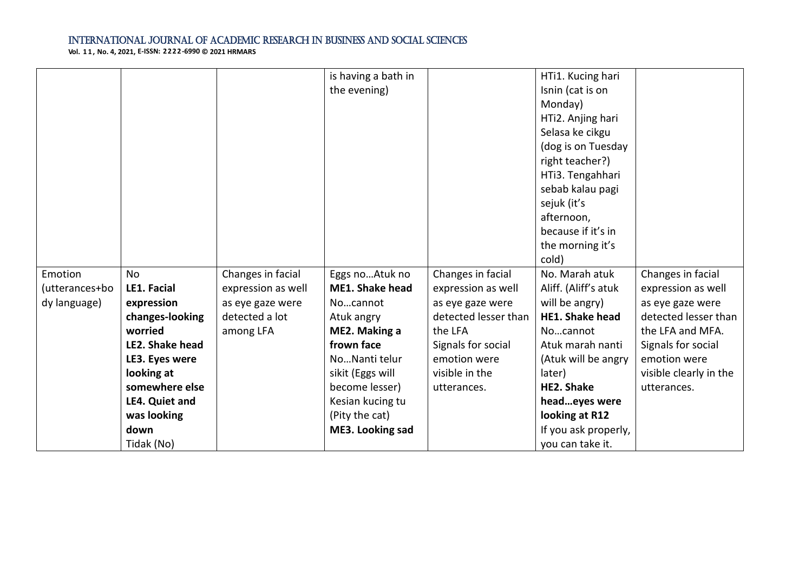|                |                 |                    | is having a bath in    |                      | HTi1. Kucing hari      |                        |
|----------------|-----------------|--------------------|------------------------|----------------------|------------------------|------------------------|
|                |                 |                    | the evening)           |                      | Isnin (cat is on       |                        |
|                |                 |                    |                        |                      | Monday)                |                        |
|                |                 |                    |                        |                      | HTi2. Anjing hari      |                        |
|                |                 |                    |                        |                      | Selasa ke cikgu        |                        |
|                |                 |                    |                        |                      | (dog is on Tuesday     |                        |
|                |                 |                    |                        |                      | right teacher?)        |                        |
|                |                 |                    |                        |                      | HTi3. Tengahhari       |                        |
|                |                 |                    |                        |                      | sebab kalau pagi       |                        |
|                |                 |                    |                        |                      | sejuk (it's            |                        |
|                |                 |                    |                        |                      | afternoon,             |                        |
|                |                 |                    |                        |                      | because if it's in     |                        |
|                |                 |                    |                        |                      | the morning it's       |                        |
|                |                 |                    |                        |                      | cold)                  |                        |
| Emotion        | <b>No</b>       | Changes in facial  | Eggs noAtuk no         | Changes in facial    | No. Marah atuk         | Changes in facial      |
| (utterances+bo | LE1. Facial     | expression as well | <b>ME1. Shake head</b> | expression as well   | Aliff. (Aliff's atuk   | expression as well     |
| dy language)   | expression      | as eye gaze were   | Nocannot               | as eye gaze were     | will be angry)         | as eye gaze were       |
|                | changes-looking | detected a lot     | Atuk angry             | detected lesser than | <b>HE1. Shake head</b> | detected lesser than   |
|                | worried         | among LFA          | ME2. Making a          | the LFA              | Nocannot               | the LFA and MFA.       |
|                | LE2. Shake head |                    | frown face             | Signals for social   | Atuk marah nanti       | Signals for social     |
|                | LE3. Eyes were  |                    | NoNanti telur          | emotion were         | (Atuk will be angry    | emotion were           |
|                | looking at      |                    | sikit (Eggs will       | visible in the       | later)                 | visible clearly in the |
|                | somewhere else  |                    | become lesser)         | utterances.          | <b>HE2. Shake</b>      | utterances.            |
|                | LE4. Quiet and  |                    | Kesian kucing tu       |                      | headeyes were          |                        |
|                | was looking     |                    | (Pity the cat)         |                      | looking at R12         |                        |
|                | down            |                    | ME3. Looking sad       |                      | If you ask properly,   |                        |
|                | Tidak (No)      |                    |                        |                      | you can take it.       |                        |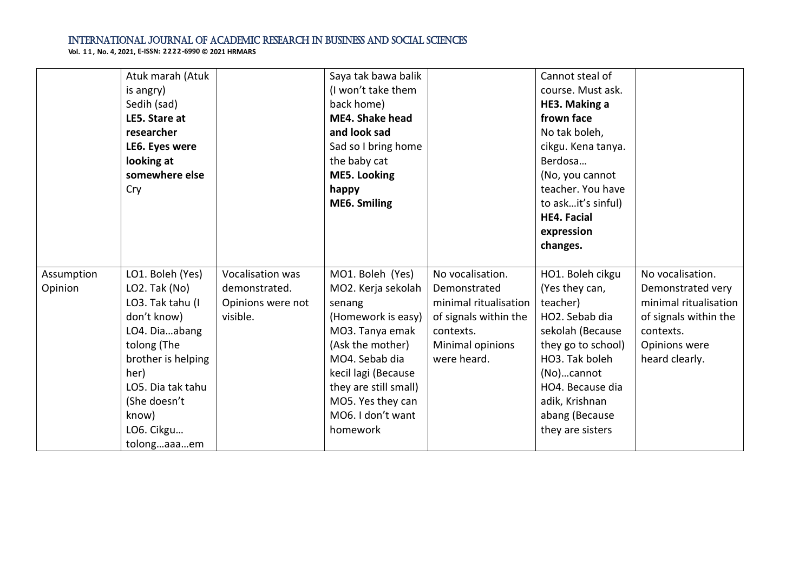|            | Atuk marah (Atuk   |                   | Saya tak bawa balik    |                       | Cannot steal of    |                       |
|------------|--------------------|-------------------|------------------------|-----------------------|--------------------|-----------------------|
|            | is angry)          |                   | (I won't take them     |                       | course. Must ask.  |                       |
|            | Sedih (sad)        |                   | back home)             |                       | HE3. Making a      |                       |
|            | LE5. Stare at      |                   | <b>ME4. Shake head</b> |                       | frown face         |                       |
|            | researcher         |                   | and look sad           |                       | No tak boleh,      |                       |
|            | LE6. Eyes were     |                   | Sad so I bring home    |                       | cikgu. Kena tanya. |                       |
|            | looking at         |                   | the baby cat           |                       | Berdosa            |                       |
|            | somewhere else     |                   | <b>ME5. Looking</b>    |                       | (No, you cannot    |                       |
|            | Cry                |                   | happy                  |                       | teacher. You have  |                       |
|            |                    |                   | ME6. Smiling           |                       | to askit's sinful) |                       |
|            |                    |                   |                        |                       | <b>HE4. Facial</b> |                       |
|            |                    |                   |                        |                       | expression         |                       |
|            |                    |                   |                        |                       | changes.           |                       |
|            |                    |                   |                        |                       |                    |                       |
| Assumption | LO1. Boleh (Yes)   | Vocalisation was  | MO1. Boleh (Yes)       | No vocalisation.      | HO1. Boleh cikgu   | No vocalisation.      |
| Opinion    | LO2. Tak (No)      | demonstrated.     | MO2. Kerja sekolah     | Demonstrated          | (Yes they can,     | Demonstrated very     |
|            | LO3. Tak tahu (I   | Opinions were not | senang                 | minimal ritualisation | teacher)           | minimal ritualisation |
|            | don't know)        | visible.          | (Homework is easy)     | of signals within the | HO2. Sebab dia     | of signals within the |
|            | LO4. Diaabang      |                   | MO3. Tanya emak        | contexts.             | sekolah (Because   | contexts.             |
|            | tolong (The        |                   | (Ask the mother)       | Minimal opinions      | they go to school) | Opinions were         |
|            | brother is helping |                   | MO4. Sebab dia         | were heard.           | HO3. Tak boleh     | heard clearly.        |
|            | her)               |                   | kecil lagi (Because    |                       | (No)cannot         |                       |
|            | LO5. Dia tak tahu  |                   | they are still small)  |                       | HO4. Because dia   |                       |
|            | (She doesn't       |                   | MO5. Yes they can      |                       | adik, Krishnan     |                       |
|            | know)              |                   | MO6. I don't want      |                       | abang (Because     |                       |
|            | LO6. Cikgu         |                   | homework               |                       | they are sisters   |                       |
|            | tolongaaaem        |                   |                        |                       |                    |                       |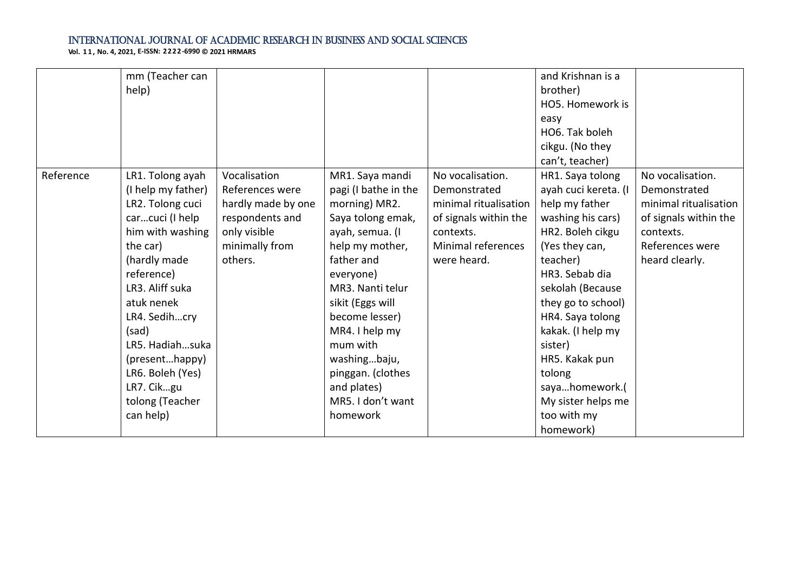|           | mm (Teacher can<br>help)                                                                                                                                                                                                                                                                                      |                                                                                                                       |                                                                                                                                                                                                                                                                                                                             |                                                                                                                                      | and Krishnan is a<br>brother)<br>HO5. Homework is<br>easy<br>HO6. Tak boleh<br>cikgu. (No they<br>can't, teacher)                                                                                                                                                                                                                                 |                                                                                                                                      |
|-----------|---------------------------------------------------------------------------------------------------------------------------------------------------------------------------------------------------------------------------------------------------------------------------------------------------------------|-----------------------------------------------------------------------------------------------------------------------|-----------------------------------------------------------------------------------------------------------------------------------------------------------------------------------------------------------------------------------------------------------------------------------------------------------------------------|--------------------------------------------------------------------------------------------------------------------------------------|---------------------------------------------------------------------------------------------------------------------------------------------------------------------------------------------------------------------------------------------------------------------------------------------------------------------------------------------------|--------------------------------------------------------------------------------------------------------------------------------------|
| Reference | LR1. Tolong ayah<br>(I help my father)<br>LR2. Tolong cuci<br>carcuci (I help<br>him with washing<br>the car)<br>(hardly made<br>reference)<br>LR3. Aliff suka<br>atuk nenek<br>LR4. Sedihcry<br>(sad)<br>LR5. Hadiahsuka<br>(presenthappy)<br>LR6. Boleh (Yes)<br>LR7. Cikgu<br>tolong (Teacher<br>can help) | Vocalisation<br>References were<br>hardly made by one<br>respondents and<br>only visible<br>minimally from<br>others. | MR1. Saya mandi<br>pagi (I bathe in the<br>morning) MR2.<br>Saya tolong emak,<br>ayah, semua. (I<br>help my mother,<br>father and<br>everyone)<br>MR3. Nanti telur<br>sikit (Eggs will<br>become lesser)<br>MR4. I help my<br>mum with<br>washingbaju,<br>pinggan. (clothes<br>and plates)<br>MR5. I don't want<br>homework | No vocalisation.<br>Demonstrated<br>minimal ritualisation<br>of signals within the<br>contexts.<br>Minimal references<br>were heard. | HR1. Saya tolong<br>ayah cuci kereta. (I<br>help my father<br>washing his cars)<br>HR2. Boleh cikgu<br>(Yes they can,<br>teacher)<br>HR3. Sebab dia<br>sekolah (Because<br>they go to school)<br>HR4. Saya tolong<br>kakak. (I help my<br>sister)<br>HR5. Kakak pun<br>tolong<br>sayahomework.(<br>My sister helps me<br>too with my<br>homework) | No vocalisation.<br>Demonstrated<br>minimal ritualisation<br>of signals within the<br>contexts.<br>References were<br>heard clearly. |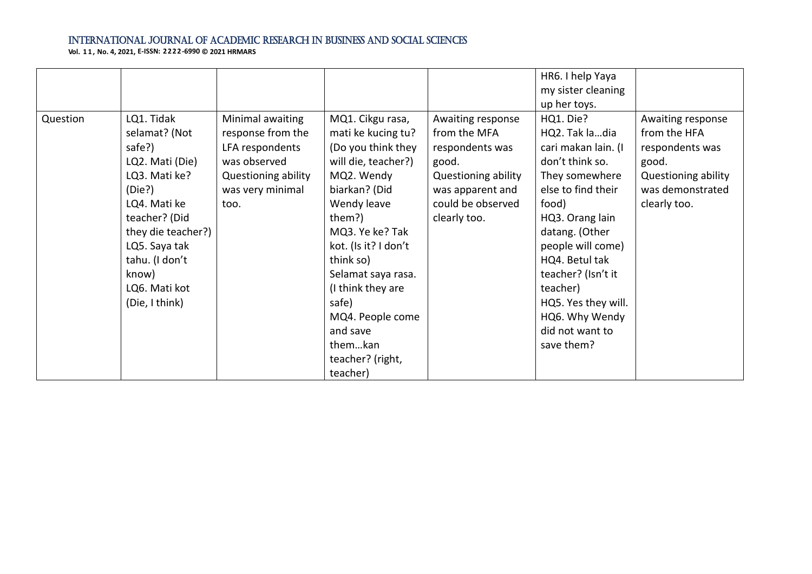|          |                    |                     |                      |                     | HR6. I help Yaya    |                     |
|----------|--------------------|---------------------|----------------------|---------------------|---------------------|---------------------|
|          |                    |                     |                      |                     | my sister cleaning  |                     |
|          |                    |                     |                      |                     | up her toys.        |                     |
| Question | LQ1. Tidak         | Minimal awaiting    | MQ1. Cikgu rasa,     | Awaiting response   | HQ1. Die?           | Awaiting response   |
|          | selamat? (Not      | response from the   | mati ke kucing tu?   | from the MFA        | HQ2. Tak ladia      | from the HFA        |
|          | safe?)             | LFA respondents     | (Do you think they   | respondents was     | cari makan lain. (I | respondents was     |
|          | LQ2. Mati (Die)    | was observed        | will die, teacher?)  | good.               | don't think so.     | good.               |
|          | LQ3. Mati ke?      | Questioning ability | MQ2. Wendy           | Questioning ability | They somewhere      | Questioning ability |
|          | (Die?)             | was very minimal    | biarkan? (Did        | was apparent and    | else to find their  | was demonstrated    |
|          | LQ4. Mati ke       | too.                | Wendy leave          | could be observed   | food)               | clearly too.        |
|          | teacher? (Did      |                     | them?)               | clearly too.        | HQ3. Orang lain     |                     |
|          | they die teacher?) |                     | MQ3. Ye ke? Tak      |                     | datang. (Other      |                     |
|          | LQ5. Saya tak      |                     | kot. (Is it? I don't |                     | people will come)   |                     |
|          | tahu. (I don't     |                     | think so)            |                     | HQ4. Betul tak      |                     |
|          | know)              |                     | Selamat saya rasa.   |                     | teacher? (Isn't it  |                     |
|          | LQ6. Mati kot      |                     | (I think they are    |                     | teacher)            |                     |
|          | (Die, I think)     |                     | safe)                |                     | HQ5. Yes they will. |                     |
|          |                    |                     | MQ4. People come     |                     | HQ6. Why Wendy      |                     |
|          |                    |                     | and save             |                     | did not want to     |                     |
|          |                    |                     | themkan              |                     | save them?          |                     |
|          |                    |                     | teacher? (right,     |                     |                     |                     |
|          |                    |                     | teacher)             |                     |                     |                     |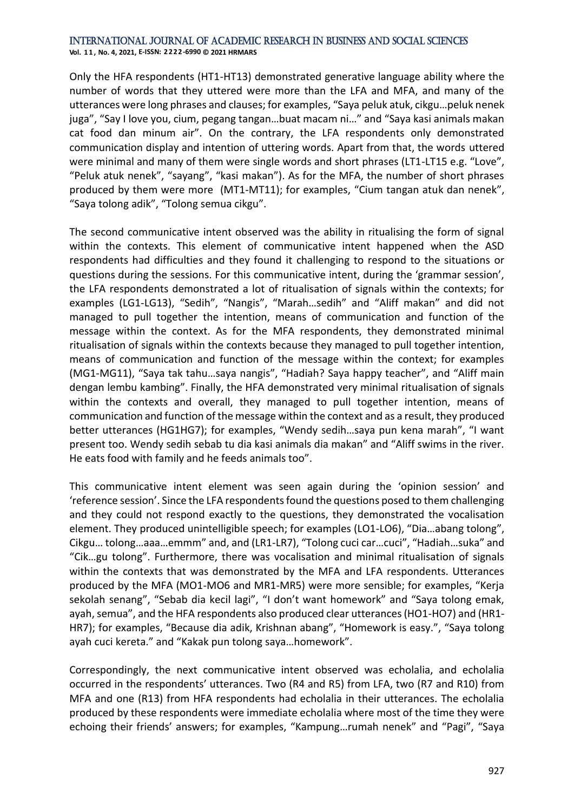**Vol. 1 1 , No. 4, 2021, E-ISSN: 2222-6990 © 2021 HRMARS**

Only the HFA respondents (HT1-HT13) demonstrated generative language ability where the number of words that they uttered were more than the LFA and MFA, and many of the utterances were long phrases and clauses; for examples, "Saya peluk atuk, cikgu…peluk nenek juga", "Say I love you, cium, pegang tangan…buat macam ni…" and "Saya kasi animals makan cat food dan minum air". On the contrary, the LFA respondents only demonstrated communication display and intention of uttering words. Apart from that, the words uttered were minimal and many of them were single words and short phrases (LT1-LT15 e.g. "Love", "Peluk atuk nenek", "sayang", "kasi makan"). As for the MFA, the number of short phrases produced by them were more (MT1-MT11); for examples, "Cium tangan atuk dan nenek", "Saya tolong adik", "Tolong semua cikgu".

The second communicative intent observed was the ability in ritualising the form of signal within the contexts. This element of communicative intent happened when the ASD respondents had difficulties and they found it challenging to respond to the situations or questions during the sessions. For this communicative intent, during the 'grammar session', the LFA respondents demonstrated a lot of ritualisation of signals within the contexts; for examples (LG1-LG13), "Sedih", "Nangis", "Marah…sedih" and "Aliff makan" and did not managed to pull together the intention, means of communication and function of the message within the context. As for the MFA respondents, they demonstrated minimal ritualisation of signals within the contexts because they managed to pull together intention, means of communication and function of the message within the context; for examples (MG1-MG11), "Saya tak tahu…saya nangis", "Hadiah? Saya happy teacher", and "Aliff main dengan lembu kambing". Finally, the HFA demonstrated very minimal ritualisation of signals within the contexts and overall, they managed to pull together intention, means of communication and function of the message within the context and as a result, they produced better utterances (HG1HG7); for examples, "Wendy sedih…saya pun kena marah", "I want present too. Wendy sedih sebab tu dia kasi animals dia makan" and "Aliff swims in the river. He eats food with family and he feeds animals too".

This communicative intent element was seen again during the 'opinion session' and 'reference session'. Since the LFA respondents found the questions posed to them challenging and they could not respond exactly to the questions, they demonstrated the vocalisation element. They produced unintelligible speech; for examples (LO1-LO6), "Dia…abang tolong", Cikgu… tolong…aaa…emmm" and, and (LR1-LR7), "Tolong cuci car…cuci", "Hadiah…suka" and "Cik…gu tolong". Furthermore, there was vocalisation and minimal ritualisation of signals within the contexts that was demonstrated by the MFA and LFA respondents. Utterances produced by the MFA (MO1-MO6 and MR1-MR5) were more sensible; for examples, "Kerja sekolah senang", "Sebab dia kecil lagi", "I don't want homework" and "Saya tolong emak, ayah, semua", and the HFA respondents also produced clear utterances (HO1-HO7) and (HR1- HR7); for examples, "Because dia adik, Krishnan abang", "Homework is easy.", "Saya tolong ayah cuci kereta." and "Kakak pun tolong saya…homework".

Correspondingly, the next communicative intent observed was echolalia, and echolalia occurred in the respondents' utterances. Two (R4 and R5) from LFA, two (R7 and R10) from MFA and one (R13) from HFA respondents had echolalia in their utterances. The echolalia produced by these respondents were immediate echolalia where most of the time they were echoing their friends' answers; for examples, "Kampung…rumah nenek" and "Pagi", "Saya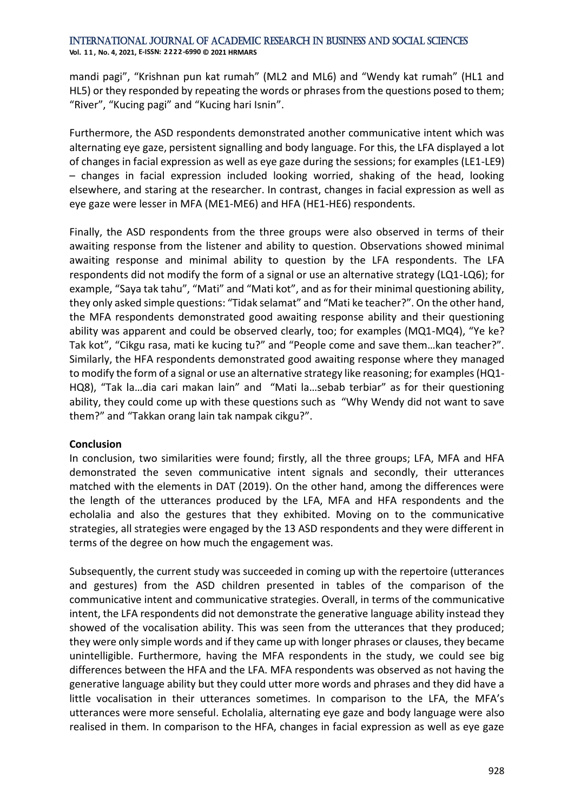mandi pagi", "Krishnan pun kat rumah" (ML2 and ML6) and "Wendy kat rumah" (HL1 and HL5) or they responded by repeating the words or phrases from the questions posed to them; "River", "Kucing pagi" and "Kucing hari Isnin".

Furthermore, the ASD respondents demonstrated another communicative intent which was alternating eye gaze, persistent signalling and body language. For this, the LFA displayed a lot of changes in facial expression as well as eye gaze during the sessions; for examples (LE1-LE9) – changes in facial expression included looking worried, shaking of the head, looking elsewhere, and staring at the researcher. In contrast, changes in facial expression as well as eye gaze were lesser in MFA (ME1-ME6) and HFA (HE1-HE6) respondents.

Finally, the ASD respondents from the three groups were also observed in terms of their awaiting response from the listener and ability to question. Observations showed minimal awaiting response and minimal ability to question by the LFA respondents. The LFA respondents did not modify the form of a signal or use an alternative strategy (LQ1-LQ6); for example, "Saya tak tahu", "Mati" and "Mati kot", and as for their minimal questioning ability, they only asked simple questions: "Tidak selamat" and "Mati ke teacher?". On the other hand, the MFA respondents demonstrated good awaiting response ability and their questioning ability was apparent and could be observed clearly, too; for examples (MQ1-MQ4), "Ye ke? Tak kot", "Cikgu rasa, mati ke kucing tu?" and "People come and save them…kan teacher?". Similarly, the HFA respondents demonstrated good awaiting response where they managed to modify the form of a signal or use an alternative strategy like reasoning; for examples (HQ1- HQ8), "Tak la…dia cari makan lain" and "Mati la…sebab terbiar" as for their questioning ability, they could come up with these questions such as "Why Wendy did not want to save them?" and "Takkan orang lain tak nampak cikgu?".

#### **Conclusion**

In conclusion, two similarities were found; firstly, all the three groups; LFA, MFA and HFA demonstrated the seven communicative intent signals and secondly, their utterances matched with the elements in DAT (2019). On the other hand, among the differences were the length of the utterances produced by the LFA, MFA and HFA respondents and the echolalia and also the gestures that they exhibited. Moving on to the communicative strategies, all strategies were engaged by the 13 ASD respondents and they were different in terms of the degree on how much the engagement was.

Subsequently, the current study was succeeded in coming up with the repertoire (utterances and gestures) from the ASD children presented in tables of the comparison of the communicative intent and communicative strategies. Overall, in terms of the communicative intent, the LFA respondents did not demonstrate the generative language ability instead they showed of the vocalisation ability. This was seen from the utterances that they produced; they were only simple words and if they came up with longer phrases or clauses, they became unintelligible. Furthermore, having the MFA respondents in the study, we could see big differences between the HFA and the LFA. MFA respondents was observed as not having the generative language ability but they could utter more words and phrases and they did have a little vocalisation in their utterances sometimes. In comparison to the LFA, the MFA's utterances were more senseful. Echolalia, alternating eye gaze and body language were also realised in them. In comparison to the HFA, changes in facial expression as well as eye gaze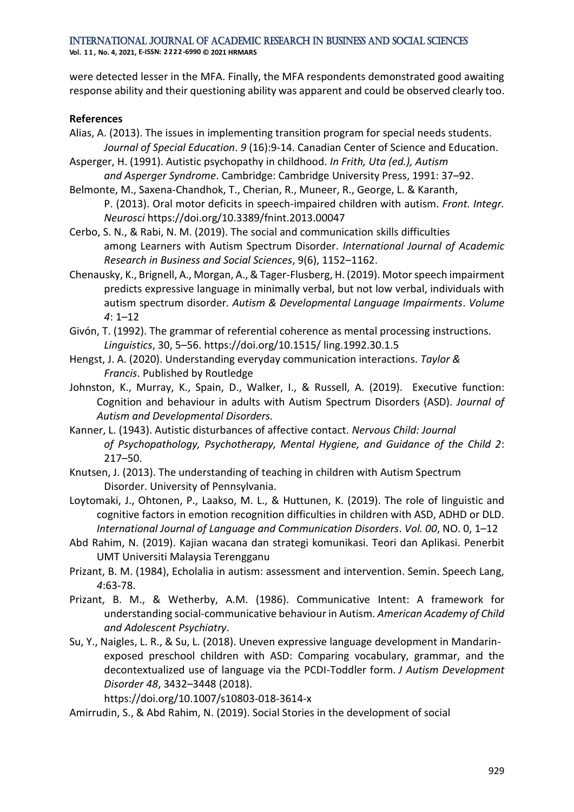were detected lesser in the MFA. Finally, the MFA respondents demonstrated good awaiting response ability and their questioning ability was apparent and could be observed clearly too.

#### **References**

- Alias, A. (2013). The issues in implementing transition program for special needs students. *Journal of Special Education*. *9* (16):9-14. Canadian Center of Science and Education.
- Asperger, H. (1991). Autistic psychopathy in childhood. *In Frith, Uta (ed.), Autism and Asperger Syndrome*. Cambridge: Cambridge University Press, 1991: 37–92.
- Belmonte, M., Saxena-Chandhok, T., Cherian, R., Muneer, R., George, L. & Karanth, P. (2013). Oral motor deficits in speech-impaired children with autism. *Front. Integr. Neurosci* https://doi.org/10.3389/fnint.2013.00047
- Cerbo, S. N., & Rabi, N. M. (2019). The social and communication skills difficulties among Learners with Autism Spectrum Disorder. *International Journal of Academic Research in Business and Social Sciences*, 9(6), 1152–1162.
- Chenausky, K., Brignell, A., Morgan, A., & Tager-Flusberg, H. (2019). Motor speech impairment predicts expressive language in minimally verbal, but not low verbal, individuals with autism spectrum disorder. *Autism & Developmental Language Impairments*. *Volume 4*: 1–12
- Givón, T. (1992). The grammar of referential coherence as mental processing instructions. *Linguistics*, 30, 5–56. https://doi.org/10.1515/ ling.1992.30.1.5
- Hengst, J. A. (2020). Understanding everyday communication interactions. *Taylor & Francis*. Published by Routledge
- Johnston, K., Murray, K., Spain, D., Walker, I., & Russell, A. (2019). Executive function: Cognition and behaviour in adults with Autism Spectrum Disorders (ASD). *Journal of Autism and Developmental Disorders.*
- Kanner, L. (1943). Autistic disturbances of affective contact. *Nervous Child: Journal of Psychopathology, Psychotherapy, Mental Hygiene, and Guidance of the Child 2*: 217–50.
- Knutsen, J. (2013). The understanding of teaching in children with Autism Spectrum Disorder. University of Pennsylvania.
- Loytomaki, J., Ohtonen, P., Laakso, M. L., & Huttunen, K. (2019). The role of linguistic and cognitive factors in emotion recognition difficulties in children with ASD, ADHD or DLD. *International Journal of Language and Communication Disorders*. *Vol. 00*, NO. 0, 1–12
- Abd Rahim, N. (2019). Kajian wacana dan strategi komunikasi. Teori dan Aplikasi. Penerbit UMT Universiti Malaysia Terengganu
- Prizant, B. M. (1984), Echolalia in autism: assessment and intervention. Semin. Speech Lang, *4*:63-78.
- Prizant, B. M., & Wetherby, A.M. (1986). Communicative Intent: A framework for understanding social-communicative behaviour in Autism. *American Academy of Child and Adolescent Psychiatry*.
- Su, Y., Naigles, L. R., & Su, L. (2018). Uneven expressive language development in Mandarinexposed preschool children with ASD: Comparing vocabulary, grammar, and the decontextualized use of language via the PCDI-Toddler form. *J Autism Development Disorder 48*, 3432–3448 (2018).

https://doi.org/10.1007/s10803-018-3614-x

Amirrudin, S., & Abd Rahim, N. (2019). Social Stories in the development of social